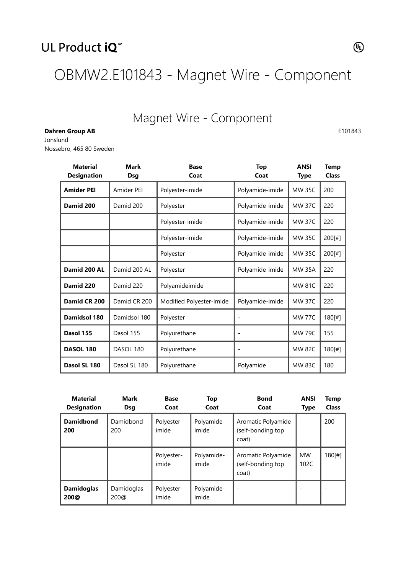OBMW2.E101843 - Magnet Wire - Component

## Magnet Wire - Component

E101843

Dahren Group AB Jonslund Nossebro, 465 80 Sweden

| <b>Material</b><br><b>Designation</b> | <b>Mark</b><br><b>Dsg</b> | <b>Base</b><br>Top<br>Coat<br>Coat |                 | <b>ANSI</b><br><b>Type</b> | <b>Temp</b><br><b>Class</b> |
|---------------------------------------|---------------------------|------------------------------------|-----------------|----------------------------|-----------------------------|
| <b>Amider PEI</b>                     | Amider PEI                | Polyester-imide                    | Polyamide-imide | <b>MW 35C</b>              | 200                         |
| Damid 200                             | Damid 200                 | Polyester                          | Polyamide-imide | <b>MW 37C</b>              | 220                         |
|                                       |                           | Polyester-imide                    | Polyamide-imide | <b>MW 37C</b>              | 220                         |
|                                       |                           | Polyester-imide                    | Polyamide-imide | <b>MW 35C</b>              | 200[#]                      |
|                                       |                           | Polyester                          | Polyamide-imide | <b>MW 35C</b>              | 200[#]                      |
| Damid 200 AL                          | Damid 200 AL              | Polyester                          | Polyamide-imide | <b>MW 35A</b>              | 220                         |
| Damid 220                             | Damid 220                 | Polyamideimide                     |                 | <b>MW 81C</b>              | 220                         |
| Damid CR 200                          | Damid CR 200              | Modified Polyester-imide           | Polyamide-imide | <b>MW 37C</b>              | 220                         |
| Damidsol 180                          | Damidsol 180              | Polyester                          |                 | <b>MW 77C</b>              | 180[#]                      |
| Dasol 155                             | Dasol 155                 | Polyurethane                       |                 | <b>MW 79C</b>              | 155                         |
| <b>DASOL 180</b>                      | DASOL 180                 | Polyurethane                       |                 | <b>MW 82C</b>              | 180[#]                      |
| Dasol SL 180                          | Dasol SL 180              | Polyurethane                       | Polyamide       | <b>MW 83C</b>              | 180                         |

| <b>Material</b><br><b>Designation</b> | <b>Mark</b><br><b>Dsg</b> | <b>Base</b><br>Coat | <b>Top</b><br>Coat  | <b>Bond</b><br>Coat                              | <b>ANSI</b><br><b>Type</b> | Temp<br><b>Class</b> |
|---------------------------------------|---------------------------|---------------------|---------------------|--------------------------------------------------|----------------------------|----------------------|
| <b>Damidbond</b><br>200               | Damidbond<br>200          | Polyester-<br>imide | Polyamide-<br>imide | Aromatic Polyamide<br>(self-bonding top<br>coat) |                            | 200                  |
|                                       |                           | Polyester-<br>imide | Polyamide-<br>imide | Aromatic Polyamide<br>(self-bonding top<br>coat) | <b>MW</b><br>102C          | 180[#]               |
| <b>Damidoglas</b><br>200@             | Damidoglas<br>200@        | Polyester-<br>imide | Polyamide-<br>imide | $\overline{\phantom{a}}$                         |                            |                      |